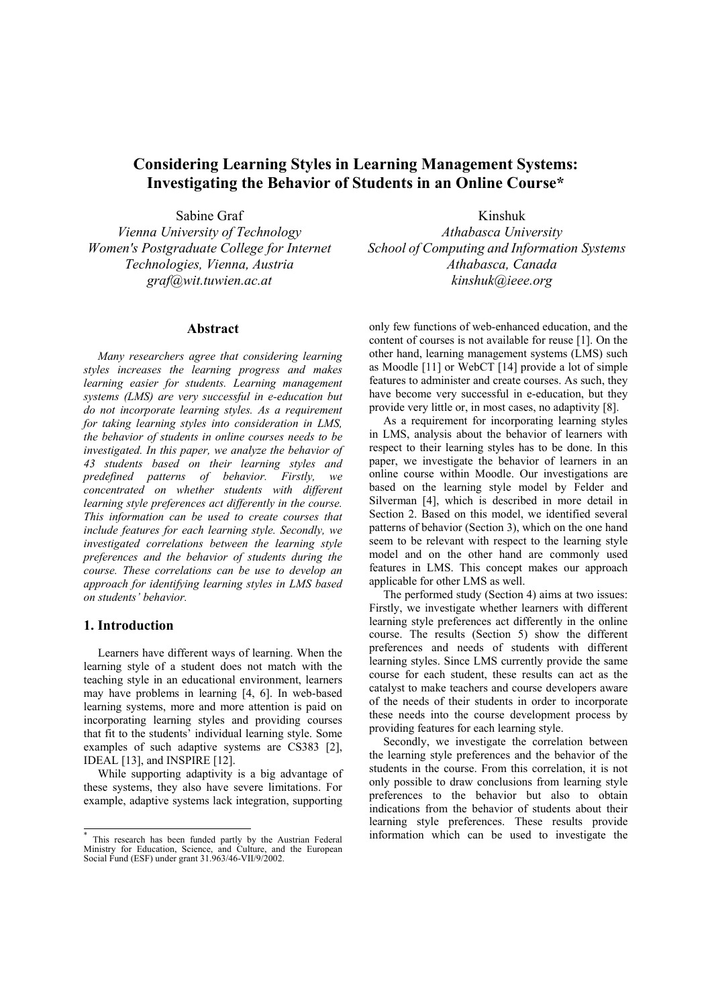# **Considering Learning Styles in Learning Management Systems: Investigating the Behavior of Students in an Online Course\***

Sabine Graf

*Vienna University of Technology Women's Postgraduate College for Internet Technologies, Vienna, Austria graf@wit.tuwien.ac.at* 

#### **Abstract** *\**

*Many researchers agree that considering learning styles increases the learning progress and makes learning easier for students. Learning management systems (LMS) are very successful in e-education but do not incorporate learning styles. As a requirement for taking learning styles into consideration in LMS, the behavior of students in online courses needs to be investigated. In this paper, we analyze the behavior of 43 students based on their learning styles and predefined patterns of behavior. Firstly, we concentrated on whether students with different learning style preferences act differently in the course. This information can be used to create courses that include features for each learning style. Secondly, we investigated correlations between the learning style preferences and the behavior of students during the course. These correlations can be use to develop an approach for identifying learning styles in LMS based on students' behavior.* 

## **1. Introduction**

Learners have different ways of learning. When the learning style of a student does not match with the teaching style in an educational environment, learners may have problems in learning [4, 6]. In web-based learning systems, more and more attention is paid on incorporating learning styles and providing courses that fit to the students' individual learning style. Some examples of such adaptive systems are CS383 [2], IDEAL [13], and INSPIRE [12].

While supporting adaptivity is a big advantage of these systems, they also have severe limitations. For example, adaptive systems lack integration, supporting

Kinshuk *Athabasca University School of Computing and Information Systems Athabasca, Canada kinshuk@ieee.org* 

only few functions of web-enhanced education, and the content of courses is not available for reuse [1]. On the other hand, learning management systems (LMS) such as Moodle [11] or WebCT [14] provide a lot of simple features to administer and create courses. As such, they have become very successful in e-education, but they provide very little or, in most cases, no adaptivity [8].

As a requirement for incorporating learning styles in LMS, analysis about the behavior of learners with respect to their learning styles has to be done. In this paper, we investigate the behavior of learners in an online course within Moodle. Our investigations are based on the learning style model by Felder and Silverman [4], which is described in more detail in Section 2. Based on this model, we identified several patterns of behavior (Section 3), which on the one hand seem to be relevant with respect to the learning style model and on the other hand are commonly used features in LMS. This concept makes our approach applicable for other LMS as well.

The performed study (Section 4) aims at two issues: Firstly, we investigate whether learners with different learning style preferences act differently in the online course. The results (Section 5) show the different preferences and needs of students with different learning styles. Since LMS currently provide the same course for each student, these results can act as the catalyst to make teachers and course developers aware of the needs of their students in order to incorporate these needs into the course development process by providing features for each learning style.

Secondly, we investigate the correlation between the learning style preferences and the behavior of the students in the course. From this correlation, it is not only possible to draw conclusions from learning style preferences to the behavior but also to obtain indications from the behavior of students about their learning style preferences. These results provide information which can be used to investigate the

 $\overline{\phantom{a}}$ \* This research has been funded partly by the Austrian Federal Ministry for Education, Science, and Culture, and the European Social Fund (ESF) under grant 31.963/46-VII/9/2002.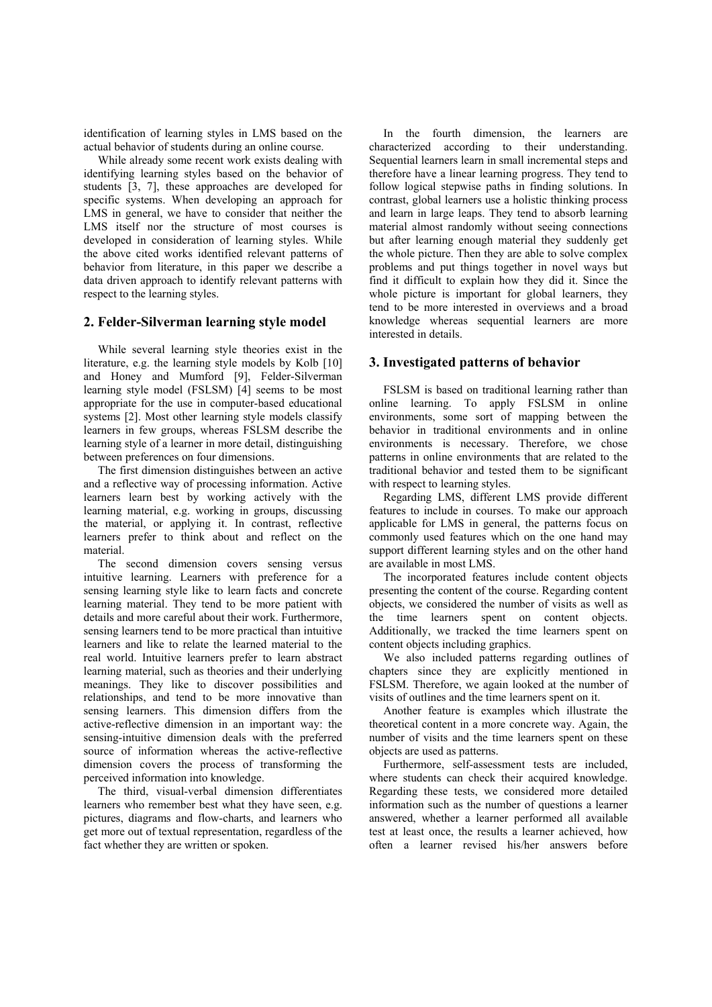identification of learning styles in LMS based on the actual behavior of students during an online course.

While already some recent work exists dealing with identifying learning styles based on the behavior of students [3, 7], these approaches are developed for specific systems. When developing an approach for LMS in general, we have to consider that neither the LMS itself nor the structure of most courses is developed in consideration of learning styles. While the above cited works identified relevant patterns of behavior from literature, in this paper we describe a data driven approach to identify relevant patterns with respect to the learning styles.

## **2. Felder-Silverman learning style model**

While several learning style theories exist in the literature, e.g. the learning style models by Kolb [10] and Honey and Mumford [9], Felder-Silverman learning style model (FSLSM) [4] seems to be most appropriate for the use in computer-based educational systems [2]. Most other learning style models classify learners in few groups, whereas FSLSM describe the learning style of a learner in more detail, distinguishing between preferences on four dimensions.

The first dimension distinguishes between an active and a reflective way of processing information. Active learners learn best by working actively with the learning material, e.g. working in groups, discussing the material, or applying it. In contrast, reflective learners prefer to think about and reflect on the material.

The second dimension covers sensing versus intuitive learning. Learners with preference for a sensing learning style like to learn facts and concrete learning material. They tend to be more patient with details and more careful about their work. Furthermore, sensing learners tend to be more practical than intuitive learners and like to relate the learned material to the real world. Intuitive learners prefer to learn abstract learning material, such as theories and their underlying meanings. They like to discover possibilities and relationships, and tend to be more innovative than sensing learners. This dimension differs from the active-reflective dimension in an important way: the sensing-intuitive dimension deals with the preferred source of information whereas the active-reflective dimension covers the process of transforming the perceived information into knowledge.

The third, visual-verbal dimension differentiates learners who remember best what they have seen, e.g. pictures, diagrams and flow-charts, and learners who get more out of textual representation, regardless of the fact whether they are written or spoken.

In the fourth dimension, the learners are characterized according to their understanding. Sequential learners learn in small incremental steps and therefore have a linear learning progress. They tend to follow logical stepwise paths in finding solutions. In contrast, global learners use a holistic thinking process and learn in large leaps. They tend to absorb learning material almost randomly without seeing connections but after learning enough material they suddenly get the whole picture. Then they are able to solve complex problems and put things together in novel ways but find it difficult to explain how they did it. Since the whole picture is important for global learners, they tend to be more interested in overviews and a broad knowledge whereas sequential learners are more interested in details.

## **3. Investigated patterns of behavior**

FSLSM is based on traditional learning rather than online learning. To apply FSLSM in online environments, some sort of mapping between the behavior in traditional environments and in online environments is necessary. Therefore, we chose patterns in online environments that are related to the traditional behavior and tested them to be significant with respect to learning styles.

Regarding LMS, different LMS provide different features to include in courses. To make our approach applicable for LMS in general, the patterns focus on commonly used features which on the one hand may support different learning styles and on the other hand are available in most LMS.

The incorporated features include content objects presenting the content of the course. Regarding content objects, we considered the number of visits as well as the time learners spent on content objects. Additionally, we tracked the time learners spent on content objects including graphics.

We also included patterns regarding outlines of chapters since they are explicitly mentioned in FSLSM. Therefore, we again looked at the number of visits of outlines and the time learners spent on it.

Another feature is examples which illustrate the theoretical content in a more concrete way. Again, the number of visits and the time learners spent on these objects are used as patterns.

Furthermore, self-assessment tests are included, where students can check their acquired knowledge. Regarding these tests, we considered more detailed information such as the number of questions a learner answered, whether a learner performed all available test at least once, the results a learner achieved, how often a learner revised his/her answers before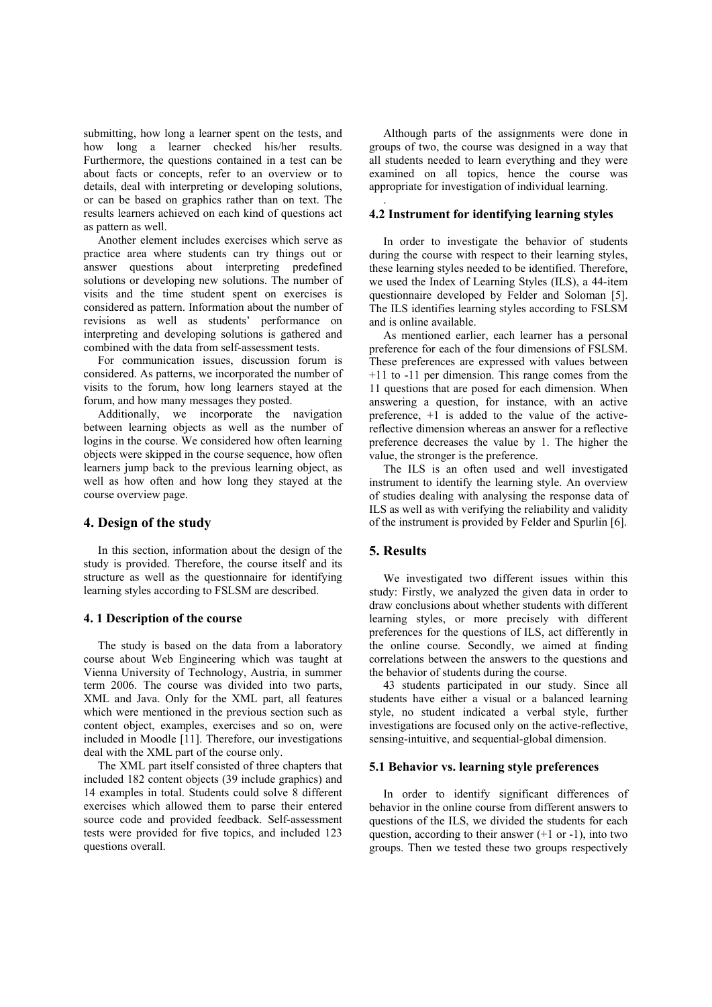submitting, how long a learner spent on the tests, and how long a learner checked his/her results. Furthermore, the questions contained in a test can be about facts or concepts, refer to an overview or to details, deal with interpreting or developing solutions, or can be based on graphics rather than on text. The results learners achieved on each kind of questions act as pattern as well.

Another element includes exercises which serve as practice area where students can try things out or answer questions about interpreting predefined solutions or developing new solutions. The number of visits and the time student spent on exercises is considered as pattern. Information about the number of revisions as well as students' performance on interpreting and developing solutions is gathered and combined with the data from self-assessment tests.

For communication issues, discussion forum is considered. As patterns, we incorporated the number of visits to the forum, how long learners stayed at the forum, and how many messages they posted.

Additionally, we incorporate the navigation between learning objects as well as the number of logins in the course. We considered how often learning objects were skipped in the course sequence, how often learners jump back to the previous learning object, as well as how often and how long they stayed at the course overview page.

#### **4. Design of the study**

In this section, information about the design of the study is provided. Therefore, the course itself and its structure as well as the questionnaire for identifying learning styles according to FSLSM are described.

#### **4. 1 Description of the course**

The study is based on the data from a laboratory course about Web Engineering which was taught at Vienna University of Technology, Austria, in summer term 2006. The course was divided into two parts, XML and Java. Only for the XML part, all features which were mentioned in the previous section such as content object, examples, exercises and so on, were included in Moodle [11]. Therefore, our investigations deal with the XML part of the course only.

The XML part itself consisted of three chapters that included 182 content objects (39 include graphics) and 14 examples in total. Students could solve 8 different exercises which allowed them to parse their entered source code and provided feedback. Self-assessment tests were provided for five topics, and included 123 questions overall.

Although parts of the assignments were done in groups of two, the course was designed in a way that all students needed to learn everything and they were examined on all topics, hence the course was appropriate for investigation of individual learning.

#### **4.2 Instrument for identifying learning styles**

In order to investigate the behavior of students during the course with respect to their learning styles, these learning styles needed to be identified. Therefore, we used the Index of Learning Styles (ILS), a 44-item questionnaire developed by Felder and Soloman [5]. The ILS identifies learning styles according to FSLSM and is online available.

As mentioned earlier, each learner has a personal preference for each of the four dimensions of FSLSM. These preferences are expressed with values between +11 to -11 per dimension. This range comes from the 11 questions that are posed for each dimension. When answering a question, for instance, with an active preference, +1 is added to the value of the activereflective dimension whereas an answer for a reflective preference decreases the value by 1. The higher the value, the stronger is the preference.

The ILS is an often used and well investigated instrument to identify the learning style. An overview of studies dealing with analysing the response data of ILS as well as with verifying the reliability and validity of the instrument is provided by Felder and Spurlin [6].

## **5. Results**

.

We investigated two different issues within this study: Firstly, we analyzed the given data in order to draw conclusions about whether students with different learning styles, or more precisely with different preferences for the questions of ILS, act differently in the online course. Secondly, we aimed at finding correlations between the answers to the questions and the behavior of students during the course.

43 students participated in our study. Since all students have either a visual or a balanced learning style, no student indicated a verbal style, further investigations are focused only on the active-reflective, sensing-intuitive, and sequential-global dimension.

#### **5.1 Behavior vs. learning style preferences**

In order to identify significant differences of behavior in the online course from different answers to questions of the ILS, we divided the students for each question, according to their answer  $(+1 \text{ or } -1)$ , into two groups. Then we tested these two groups respectively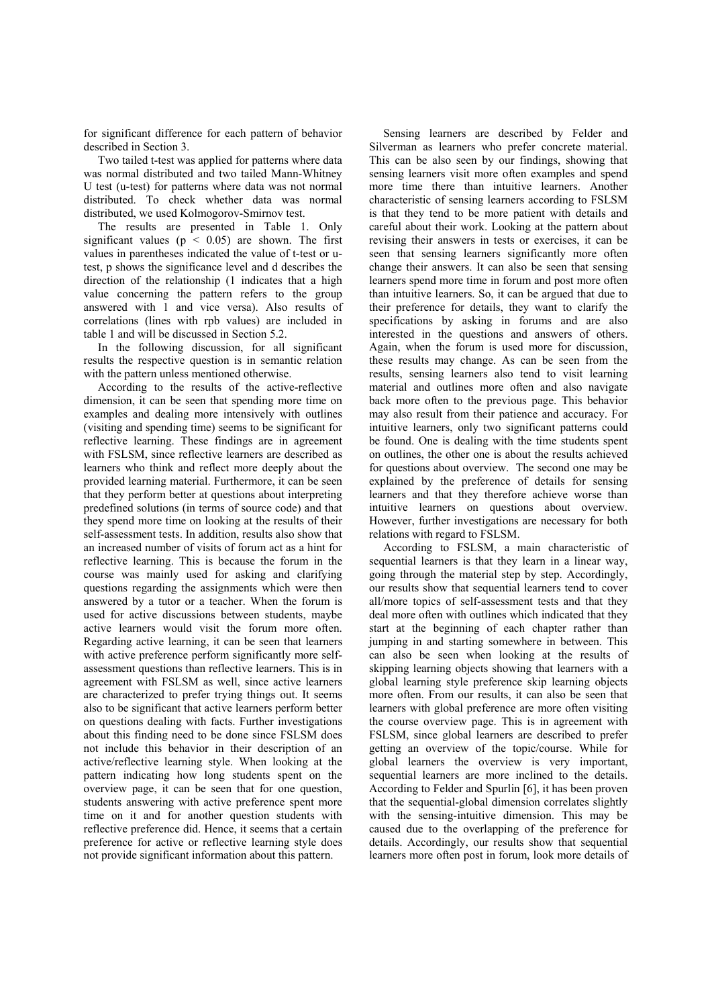for significant difference for each pattern of behavior described in Section 3.

Two tailed t-test was applied for patterns where data was normal distributed and two tailed Mann-Whitney U test (u-test) for patterns where data was not normal distributed. To check whether data was normal distributed, we used Kolmogorov-Smirnov test.

The results are presented in Table 1. Only significant values ( $p < 0.05$ ) are shown. The first values in parentheses indicated the value of t-test or utest, p shows the significance level and d describes the direction of the relationship (1 indicates that a high value concerning the pattern refers to the group answered with 1 and vice versa). Also results of correlations (lines with rpb values) are included in table 1 and will be discussed in Section 5.2.

In the following discussion, for all significant results the respective question is in semantic relation with the pattern unless mentioned otherwise.

According to the results of the active-reflective dimension, it can be seen that spending more time on examples and dealing more intensively with outlines (visiting and spending time) seems to be significant for reflective learning. These findings are in agreement with FSLSM, since reflective learners are described as learners who think and reflect more deeply about the provided learning material. Furthermore, it can be seen that they perform better at questions about interpreting predefined solutions (in terms of source code) and that they spend more time on looking at the results of their self-assessment tests. In addition, results also show that an increased number of visits of forum act as a hint for reflective learning. This is because the forum in the course was mainly used for asking and clarifying questions regarding the assignments which were then answered by a tutor or a teacher. When the forum is used for active discussions between students, maybe active learners would visit the forum more often. Regarding active learning, it can be seen that learners with active preference perform significantly more selfassessment questions than reflective learners. This is in agreement with FSLSM as well, since active learners are characterized to prefer trying things out. It seems also to be significant that active learners perform better on questions dealing with facts. Further investigations about this finding need to be done since FSLSM does not include this behavior in their description of an active/reflective learning style. When looking at the pattern indicating how long students spent on the overview page, it can be seen that for one question, students answering with active preference spent more time on it and for another question students with reflective preference did. Hence, it seems that a certain preference for active or reflective learning style does not provide significant information about this pattern.

Sensing learners are described by Felder and Silverman as learners who prefer concrete material. This can be also seen by our findings, showing that sensing learners visit more often examples and spend more time there than intuitive learners. Another characteristic of sensing learners according to FSLSM is that they tend to be more patient with details and careful about their work. Looking at the pattern about revising their answers in tests or exercises, it can be seen that sensing learners significantly more often change their answers. It can also be seen that sensing learners spend more time in forum and post more often than intuitive learners. So, it can be argued that due to their preference for details, they want to clarify the specifications by asking in forums and are also interested in the questions and answers of others. Again, when the forum is used more for discussion, these results may change. As can be seen from the results, sensing learners also tend to visit learning material and outlines more often and also navigate back more often to the previous page. This behavior may also result from their patience and accuracy. For intuitive learners, only two significant patterns could be found. One is dealing with the time students spent on outlines, the other one is about the results achieved for questions about overview. The second one may be explained by the preference of details for sensing learners and that they therefore achieve worse than intuitive learners on questions about overview. However, further investigations are necessary for both relations with regard to FSLSM.

According to FSLSM, a main characteristic of sequential learners is that they learn in a linear way, going through the material step by step. Accordingly, our results show that sequential learners tend to cover all/more topics of self-assessment tests and that they deal more often with outlines which indicated that they start at the beginning of each chapter rather than jumping in and starting somewhere in between. This can also be seen when looking at the results of skipping learning objects showing that learners with a global learning style preference skip learning objects more often. From our results, it can also be seen that learners with global preference are more often visiting the course overview page. This is in agreement with FSLSM, since global learners are described to prefer getting an overview of the topic/course. While for global learners the overview is very important, sequential learners are more inclined to the details. According to Felder and Spurlin [6], it has been proven that the sequential-global dimension correlates slightly with the sensing-intuitive dimension. This may be caused due to the overlapping of the preference for details. Accordingly, our results show that sequential learners more often post in forum, look more details of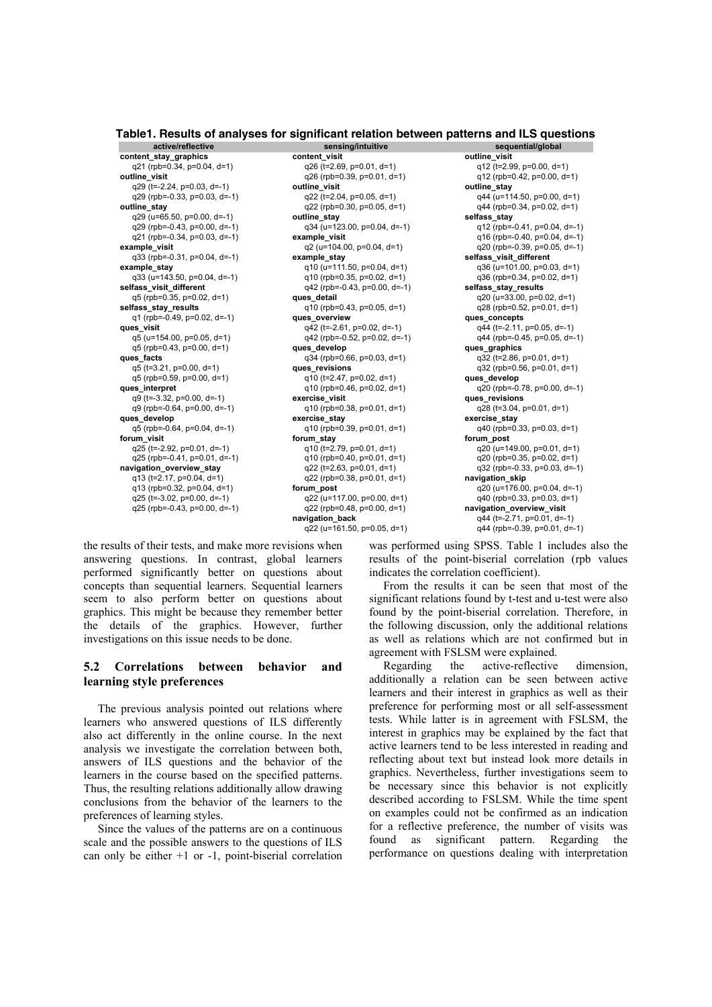**Table1. Results of analyses for significant relation between patterns and ILS questions** 

**content\_stay\_graphics outline\_stay** q22 (rpb=0.30, p=0.05, d=1) q44 (rpb=0.34, p=0.02, d=1) **example\_visit** q2 (u=104.00, p=0.04, d=1) q20 (rpb=-0.39, p=0.05, d=-1) **example\_stay example\_stay q10** (u=111.50, p=0.04, d=1)  $q36$  (u=101.00, p=0.03, d=1) **selfass\_visit\_different** q42 (rpb=-0.43, p=0.00, d=-1) **selfass\_stay\_results selfass\_stay\_results** q10 (rpb=0.43, p=0.05, d=1) q28 (rpb=0.52, p=0.01, d=1) **ques\_visit** q42 (t=-2.61, p=0.02, d=-1) q44 (t=-2.11, p=0.05, d=-1) **ques\_facts**  $q34$  (rpb=0.66, p=0.03, d=1)<br> $q5$  (t=3.21, p=0.00, d=1) **ques revisions ques\_interpret q10** (rpb=0.46, p=0.02, d=1) q9 (rpb=-0.64, p=0.00, d=-1)  $q10$  (rpb=0.38, p=0.01, d=1) **ques\_develop** exercise\_stay exercise\_stay exercise\_stay exercise\_stay exercise\_stay exercise\_stay exercise\_stay exercise\_stay exercise\_stay exercise\_stay exercise\_stay exercise\_stay exercise\_stay exercise\_stay exercise\_st **forum\_visit forum\_stay forum\_stay forum\_stay forum\_post q25** (t=-2.92, p=0.01, d=-1) **a20** (u=14) **navigation\_overview\_stay are all the state of the q22 (t=2.63, p=0.01, d=1) a** d32 (rpb=-0.33, p=0.03, d=-1) **active/reflective outline\_visit**

 $q21$  (rpb=0.34, p=0.04, d=1)  $q26$  (t=2.69, p=0.01, d=1)  $q12$  (t=2.99, p=0.00, d=1)<br>  $q26$  (rpb=0.39, p=0.01, d=1)  $q12$  (rpb=0.42, p=0.00, d=1)  $q26$  (rpb=0.39, p=0.01, d=1) q29 (t=-2.24, p=0.03, d=-1) **outline\_visit outline\_stay**  $q34$  (u=123.00, p=0.04, d=-1) q33 (rpb=-0.31, p=0.04, d=-1) **example\_stay selfass\_visit\_different**<br>ample\_stay and (u=111.50, p=0.04, d=1) **example\_stay** and (u=111.50, p=0.04, d=1) **and** and (u=101.00, p=0.04) q33 (u=143.50, p=0.04, d=-1) q10 (rpb=0.35, p=0.02, d=1) q36 (rpb=0.34, p=0.02, d=1) q5 (rpb=0.35, p=0.02, d=1) **ques\_detail** q20 (u=33.00, p=0.02, d=1) q1 (rpb=-0.49, p=0.02, d=-1) **ques\_overview ques\_concepts** q5 (rpb=0.43, p=0.00, d=1) **ques\_develop ques\_graphics ques revisions**  $q32$  (rpb=0.56, p=0.01, d=1) q9 (t=-3.32, p=0.00, d=-1) **exercise\_visit ques\_revisions**<br>q9 (rpb=-0.64, p=0.00, d=-1) **exercise\_visit q** (pb=0.38, p=0.01, d=1) **q** (28 (t=3.04, p=0.01, d=1) q5 (rpb=-0.64, p=0.04, d=-1) q10 (rpb=0.39, p=0.01, d=1) q40 (rpb=0.33, p=0.03, d=1) q25 (rpb=-0.41, p=0.01, d=-1) q10 (rpb=0.40, p=0.01, d=1) q20 (rpb=0.35, p=0.02, d=1) q13 (t=2.17, p=0.04, d=1) q22 (rpb=0.38, p=0.01, d=1) **navigation\_skip** q25 (rpb=-0.43, p=0.00, d=-1) q22 (rpb=0.48, p=0.00, d=1) **navigation\_overview\_visit** q22 (u=161.50, p=0.05, d=1) q44 (rpb=-0.39, p=0.01, d=-1) **sensing/intuitive content\_visit**

q29 (rpb=-0.33, p=0.03, d=-1) q22 (t=2.04, p=0.05, d=1) q44 (u=114.50, p=0.00, d=1) q29 (u=65.50, p=0.00, d=-1) **outline\_stay selfass\_stay**<br>q29 (rpb=-0.43, p=0.00, d=-1)  $q34$  (u=123.00, p=0.04, d=-1)  $q12$  (rpb=-0.41, p=0.04, d=-1) q21 (rpb=-0.34, p=0.03, d=-1) **example\_visit** q16 (rpb=-0.40, p=0.04, d=-1) q5 (u=154.00, p=0.05, d=1) q42 (rpb=-0.52, p=0.02, d=-1) q44 (rpb=-0.45, p=0.05, d=-1) q5 (rpb=0.59, p=0.00, d=1) q10 (t=2.47, p=0.02, d=1) **ques\_develop**  $q25$  (t=-2.92, p=0.01, d=-1)  $q10$  (t=2.79, p=0.01, d=1)  $q20$  (u=149.00, p=0.01, d=1)<br> $q25$  (rpb=-0.41, p=0.01, d=-1)  $q10$  (rpb=0.40, p=0.01, d=1)  $q20$  (rpb=0.35, p=0.02, d=1) q13 (rpb=0.32, p=0.04, d=1) **forum\_post** q20 (u=176.00, p=0.04, d=-1)  $q22$  (u=117.00, p=0.00, d=1)  $q40$  (rpb=0.33, p=0.03, d=1) **navigation\_back** q44 (t=-2.71, p=0.01, d=-1) **sequential/global outline\_visit**

the results of their tests, and make more revisions when answering questions. In contrast, global learners performed significantly better on questions about concepts than sequential learners. Sequential learners seem to also perform better on questions about graphics. This might be because they remember better the details of the graphics. However, further investigations on this issue needs to be done.

# **5.2 Correlations between behavior and learning style preferences**

The previous analysis pointed out relations where learners who answered questions of ILS differently also act differently in the online course. In the next analysis we investigate the correlation between both, answers of ILS questions and the behavior of the learners in the course based on the specified patterns. Thus, the resulting relations additionally allow drawing conclusions from the behavior of the learners to the preferences of learning styles.

Since the values of the patterns are on a continuous scale and the possible answers to the questions of ILS can only be either  $+1$  or  $-1$ , point-biserial correlation was performed using SPSS. Table 1 includes also the results of the point-biserial correlation (rpb values indicates the correlation coefficient).

From the results it can be seen that most of the significant relations found by t-test and u-test were also found by the point-biserial correlation. Therefore, in the following discussion, only the additional relations as well as relations which are not confirmed but in agreement with FSLSM were explained.

Regarding the active-reflective dimension, additionally a relation can be seen between active learners and their interest in graphics as well as their preference for performing most or all self-assessment tests. While latter is in agreement with FSLSM, the interest in graphics may be explained by the fact that active learners tend to be less interested in reading and reflecting about text but instead look more details in graphics. Nevertheless, further investigations seem to be necessary since this behavior is not explicitly described according to FSLSM. While the time spent on examples could not be confirmed as an indication for a reflective preference, the number of visits was found as significant pattern. Regarding the performance on questions dealing with interpretation